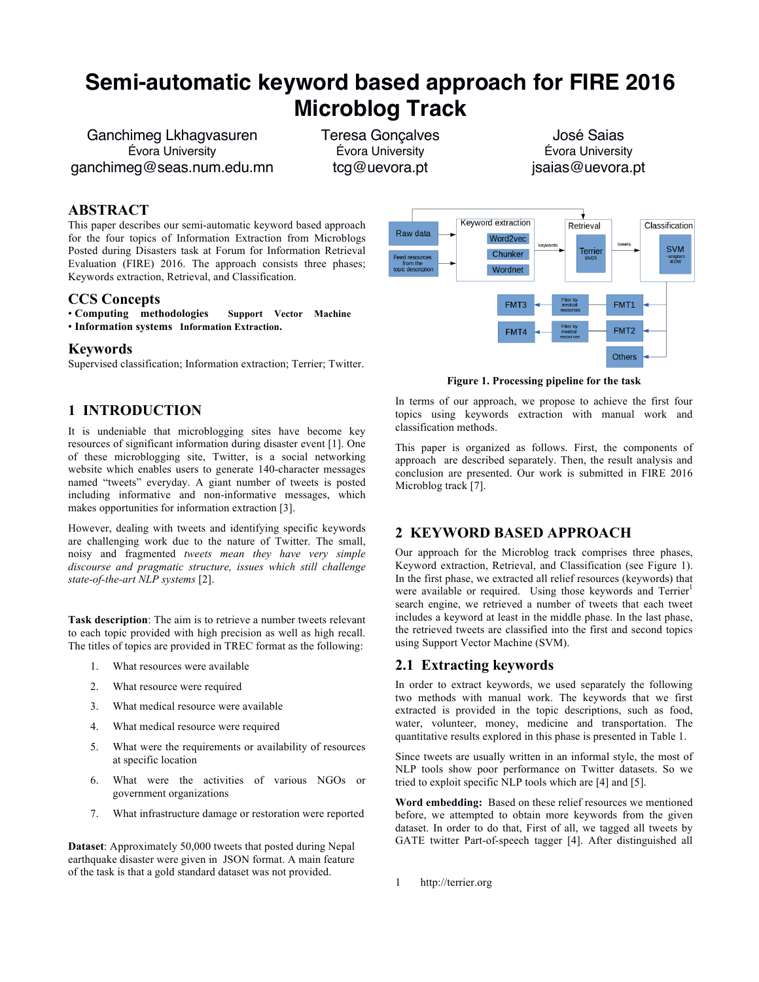# **Semi-automatic keyword based approach for FIRE 2016 Microblog Track**

Ganchimeg Lkhagvasuren Évora University ganchimeg@seas.num.edu.mn Teresa Gonçalves Évora University tcg@uevora.pt

José Saias Évora University jsaias@uevora.pt

#### **ABSTRACT**

This paper describes our semi-automatic keyword based approach for the four topics of Information Extraction from Microblogs Posted during Disasters task at Forum for Information Retrieval Evaluation (FIRE) 2016. The approach consists three phases; Keywords extraction, Retrieval, and Classification.

#### **CCS Concepts**

• **Computing methodologies Support Vector Machine** • Information systems Information Extraction.

#### **Keywords**

Supervised classification; Information extraction; Terrier; Twitter.

# **1 INTRODUCTION**

It is undeniable that microblogging sites have become key resources of significant information during disaster event [1]. One of these microblogging site, Twitter, is a social networking website which enables users to generate 140-character messages named "tweets" everyday. A giant number of tweets is posted including informative and non-informative messages, which makes opportunities for information extraction [3].

However, dealing with tweets and identifying specific keywords are challenging work due to the nature of Twitter. The small, noisy and fragmented *tweets mean they have very simple discourse and pragmatic structure, issues which still challenge state-of-the-art NLP systems* [2].

**Task description**: The aim is to retrieve a number tweets relevant to each topic provided with high precision as well as high recall. The titles of topics are provided in TREC format as the following:

- 1. What resources were available
- 2. What resource were required
- 3. What medical resource were available
- 4. What medical resource were required
- 5. What were the requirements or availability of resources at specific location
- 6. What were the activities of various NGOs or government organizations
- 7. What infrastructure damage or restoration were reported

**Dataset**: Approximately 50,000 tweets that posted during Nepal earthquake disaster were given in JSON format. A main feature of the task is that a gold standard dataset was not provided.



**Figure 1. Processing pipeline for the task**

In terms of our approach, we propose to achieve the first four topics using keywords extraction with manual work and classification methods.

This paper is organized as follows. First, the components of approach are described separately. Then, the result analysis and conclusion are presented. Our work is submitted in FIRE 2016 Microblog track [7].

# **2 KEYWORD BASED APPROACH**

Our approach for the Microblog track comprises three phases, Keyword extraction, Retrieval, and Classification (see Figure 1). In the first phase, we extracted all relief resources (keywords) that were available or required. Using those keywords and Terrier<sup>1</sup> search engine, we retrieved a number of tweets that each tweet includes a keyword at least in the middle phase. In the last phase, the retrieved tweets are classified into the first and second topics using Support Vector Machine (SVM).

# **2.1 Extracting keywords**

In order to extract keywords, we used separately the following two methods with manual work. The keywords that we first extracted is provided in the topic descriptions, such as food, water, volunteer, money, medicine and transportation. The quantitative results explored in this phase is presented in Table 1.

Since tweets are usually written in an informal style, the most of NLP tools show poor performance on Twitter datasets. So we tried to exploit specific NLP tools which are [4] and [5].

**Word embedding:** Based on these relief resources we mentioned before, we attempted to obtain more keywords from the given dataset. In order to do that, First of all, we tagged all tweets by GATE twitter Part-of-speech tagger [4]. After distinguished all

1 http://terrier.org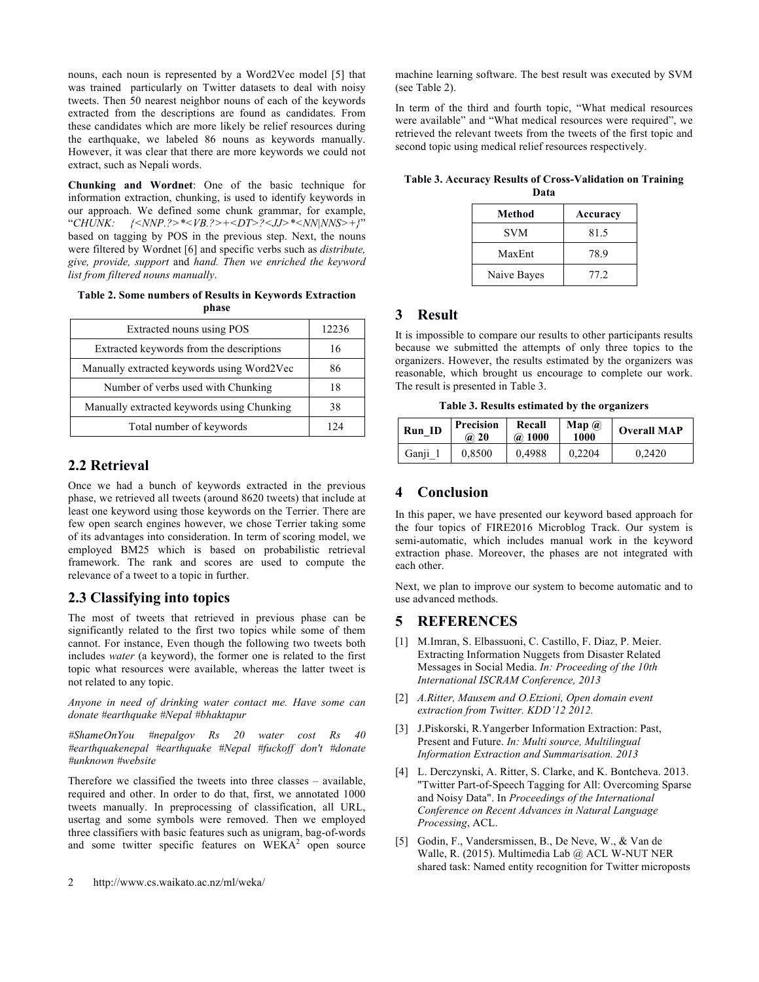nouns, each noun is represented by a Word2Vec model [5] that was trained particularly on Twitter datasets to deal with noisy tweets. Then 50 nearest neighbor nouns of each of the keywords extracted from the descriptions are found as candidates. From these candidates which are more likely be relief resources during the earthquake, we labeled 86 nouns as keywords manually. However, it was clear that there are more keywords we could not extract, such as Nepali words.

**Chunking and Wordnet**: One of the basic technique for information extraction, chunking, is used to identify keywords in our approach. We defined some chunk grammar, for example, "*CHUNK: {<NNP.?>\*<VB.?>+<DT>?<JJ>\*<NN|NNS>+}*" based on tagging by POS in the previous step. Next, the nouns were filtered by Wordnet [6] and specific verbs such as *distribute, give, provide, support* and *hand. Then we enriched the keyword list from filtered nouns manually*.

**Table 2. Some numbers of Results in Keywords Extraction phase**

| Extracted nouns using POS                  | 12236 |
|--------------------------------------------|-------|
| Extracted keywords from the descriptions   | 16    |
| Manually extracted keywords using Word2Vec | 86    |
| Number of verbs used with Chunking         | 18    |
| Manually extracted keywords using Chunking | 38    |
| Total number of keywords                   |       |

#### **2.2 Retrieval**

Once we had a bunch of keywords extracted in the previous phase, we retrieved all tweets (around 8620 tweets) that include at least one keyword using those keywords on the Terrier. There are few open search engines however, we chose Terrier taking some of its advantages into consideration. In term of scoring model, we employed BM25 which is based on probabilistic retrieval framework. The rank and scores are used to compute the relevance of a tweet to a topic in further.

# **2.3 Classifying into topics**

The most of tweets that retrieved in previous phase can be significantly related to the first two topics while some of them cannot. For instance, Even though the following two tweets both includes *water* (a keyword), the former one is related to the first topic what resources were available, whereas the latter tweet is not related to any topic.

*Anyone in need of drinking water contact me. Have some can donate #earthquake #Nepal #bhaktapur*

*#ShameOnYou #nepalgov Rs 20 water cost Rs 40 #earthquakenepal #earthquake #Nepal #fuckoff don't #donate #unknown #website*

Therefore we classified the tweets into three classes – available, required and other. In order to do that, first, we annotated 1000 tweets manually. In preprocessing of classification, all URL, usertag and some symbols were removed. Then we employed three classifiers with basic features such as unigram, bag-of-words and some twitter specific features on  $WEXA<sup>2</sup>$  open source machine learning software. The best result was executed by SVM (see Table 2).

In term of the third and fourth topic, "What medical resources were available" and "What medical resources were required", we retrieved the relevant tweets from the tweets of the first topic and second topic using medical relief resources respectively.

**Table 3. Accuracy Results of Cross-Validation on Training Data**

| Method      | Accuracy |  |
|-------------|----------|--|
| <b>SVM</b>  | 81.5     |  |
| MaxEnt      | 78.9     |  |
| Naive Bayes | 77.2     |  |

# **3 Result**

It is impossible to compare our results to other participants results because we submitted the attempts of only three topics to the organizers. However, the results estimated by the organizers was reasonable, which brought us encourage to complete our work. The result is presented in Table 3.

**Table 3. Results estimated by the organizers**

| Run ID  | <b>Precision</b><br>@ 20 | Recall<br>@ 1000 | $\mathbf{Map}$ ( <i>a</i> )<br>1000 | <b>Overall MAP</b> |
|---------|--------------------------|------------------|-------------------------------------|--------------------|
| Ganji 1 | 0.8500                   | 0.4988           | 0.2204                              | 0.2420             |

# **4 Conclusion**

In this paper, we have presented our keyword based approach for the four topics of FIRE2016 Microblog Track. Our system is semi-automatic, which includes manual work in the keyword extraction phase. Moreover, the phases are not integrated with each other.

Next, we plan to improve our system to become automatic and to use advanced methods.

# **5 REFERENCES**

- [1] M.Imran, S. Elbassuoni, C. Castillo, F. Diaz, P. Meier. Extracting Information Nuggets from Disaster Related Messages in Social Media. *In: Proceeding of the 10th International ISCRAM Conference, 2013*
- [2] *A.Ritter, Mausem and O.Etzioni, Open domain event extraction from Twitter. KDD'12 2012.*
- [3] J.Piskorski, R.Yangerber Information Extraction: Past, Present and Future. *In: Multi source, Multilingual Information Extraction and Summarisation. 2013*
- [4] L. Derczynski, A. Ritter, S. Clarke, and K. Bontcheva. 2013. "Twitter Part-of-Speech Tagging for All: Overcoming Sparse and Noisy Data". In *Proceedings of the International Conference on Recent Advances in Natural Language Processing*, ACL.
- [5] Godin, F., Vandersmissen, B., De Neve, W., & Van de Walle, R. (2015). Multimedia Lab @ ACL W-NUT NER shared task: Named entity recognition for Twitter microposts